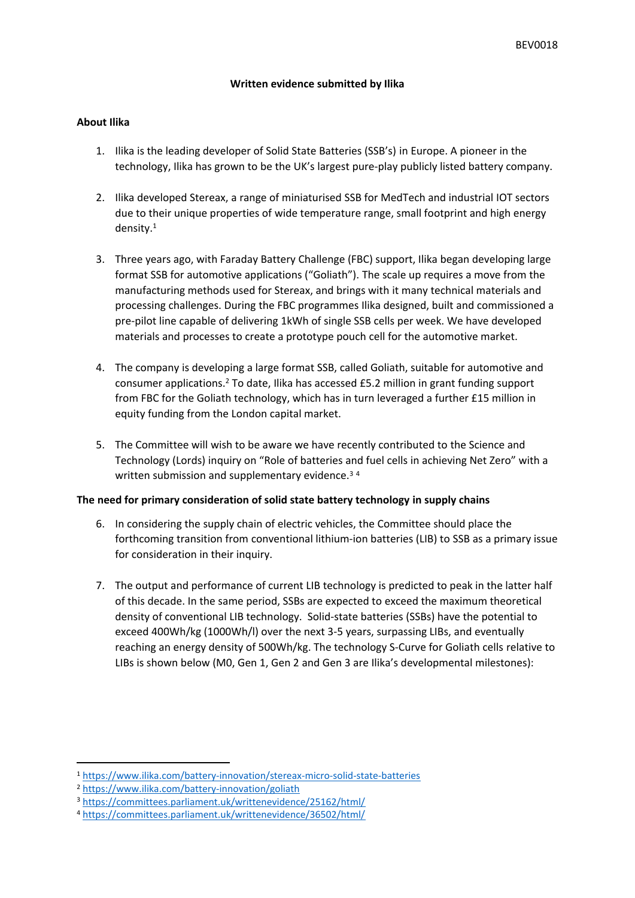## **Written evidence submitted by Ilika**

## **About Ilika**

- 1. Ilika is the leading developer of Solid State Batteries (SSB's) in Europe. A pioneer in the technology, Ilika has grown to be the UK's largest pure-play publicly listed battery company.
- 2. Ilika developed Stereax, a range of miniaturised SSB for MedTech and industrial IOT sectors due to their unique properties of wide temperature range, small footprint and high energy density.<sup>1</sup>
- 3. Three years ago, with Faraday Battery Challenge (FBC) support, Ilika began developing large format SSB for automotive applications ("Goliath"). The scale up requires a move from the manufacturing methods used for Stereax, and brings with it many technical materials and processing challenges. During the FBC programmes Ilika designed, built and commissioned a pre-pilot line capable of delivering 1kWh of single SSB cells per week. We have developed materials and processes to create a prototype pouch cell for the automotive market.
- 4. The company is developing a large format SSB, called Goliath, suitable for automotive and consumer applications.<sup>2</sup> To date, Ilika has accessed £5.2 million in grant funding support from FBC for the Goliath technology, which has in turn leveraged a further £15 million in equity funding from the London capital market.
- 5. The Committee will wish to be aware we have recently contributed to the Science and Technology (Lords) inquiry on "Role of batteries and fuel cells in achieving Net Zero" with a written submission and supplementary evidence.<sup>34</sup>

## **The need for primary consideration of solid state battery technology in supply chains**

- 6. In considering the supply chain of electric vehicles, the Committee should place the forthcoming transition from conventional lithium-ion batteries (LIB) to SSB as a primary issue for consideration in their inquiry.
- 7. The output and performance of current LIB technology is predicted to peak in the latter half of this decade. In the same period, SSBs are expected to exceed the maximum theoretical density of conventional LIB technology. Solid-state batteries (SSBs) have the potential to exceed 400Wh/kg (1000Wh/l) over the next 3-5 years, surpassing LIBs, and eventually reaching an energy density of 500Wh/kg. The technology S-Curve for Goliath cells relative to LIBs is shown below (M0, Gen 1, Gen 2 and Gen 3 are Ilika's developmental milestones):

<sup>1</sup> <https://www.ilika.com/battery-innovation/stereax-micro-solid-state-batteries>

<sup>2</sup> <https://www.ilika.com/battery-innovation/goliath>

<sup>3</sup> <https://committees.parliament.uk/writtenevidence/25162/html/>

<sup>4</sup> <https://committees.parliament.uk/writtenevidence/36502/html/>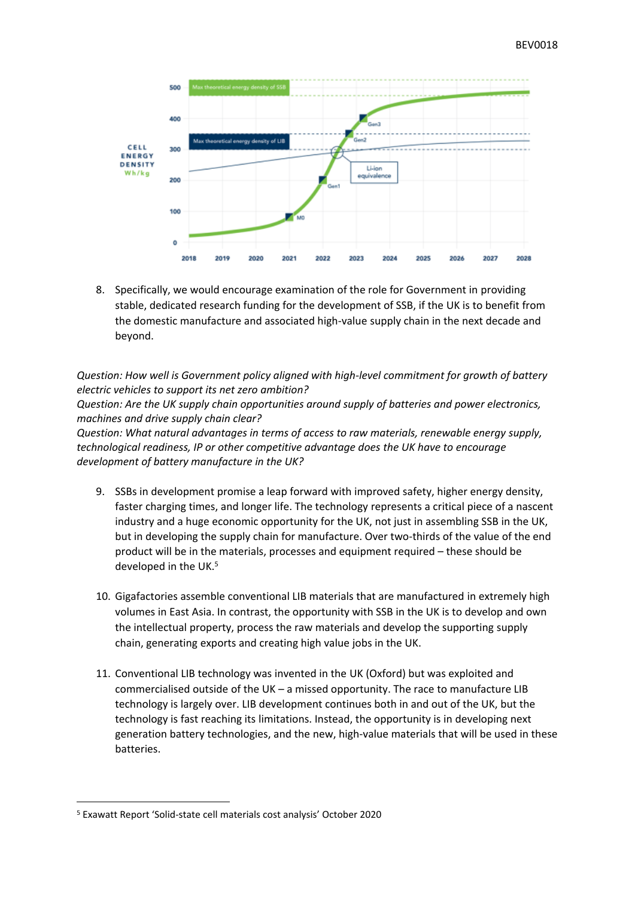

8. Specifically, we would encourage examination of the role for Government in providing stable, dedicated research funding for the development of SSB, if the UK is to benefit from the domestic manufacture and associated high-value supply chain in the next decade and beyond.

*Question: How well is Government policy aligned with high-level commitment for growth of battery electric vehicles to support its net zero ambition?*

*Question: Are the UK supply chain opportunities around supply of batteries and power electronics, machines and drive supply chain clear?*

*Question: What natural advantages in terms of access to raw materials, renewable energy supply, technological readiness, IP or other competitive advantage does the UK have to encourage development of battery manufacture in the UK?*

- 9. SSBs in development promise a leap forward with improved safety, higher energy density, faster charging times, and longer life. The technology represents a critical piece of a nascent industry and a huge economic opportunity for the UK, not just in assembling SSB in the UK, but in developing the supply chain for manufacture. Over two-thirds of the value of the end product will be in the materials, processes and equipment required – these should be developed in the UK.<sup>5</sup>
- 10. Gigafactories assemble conventional LIB materials that are manufactured in extremely high volumes in East Asia. In contrast, the opportunity with SSB in the UK is to develop and own the intellectual property, process the raw materials and develop the supporting supply chain, generating exports and creating high value jobs in the UK.
- 11. Conventional LIB technology was invented in the UK (Oxford) but was exploited and commercialised outside of the UK – a missed opportunity. The race to manufacture LIB technology is largely over. LIB development continues both in and out of the UK, but the technology is fast reaching its limitations. Instead, the opportunity is in developing next generation battery technologies, and the new, high-value materials that will be used in these batteries.

<sup>5</sup> Exawatt Report 'Solid-state cell materials cost analysis' October 2020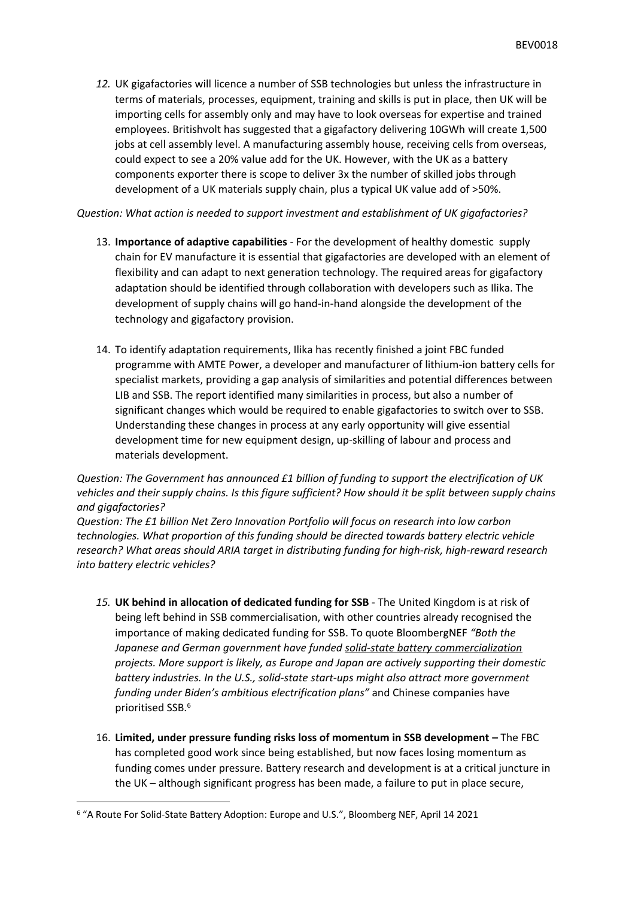*12.* UK gigafactories will licence a number of SSB technologies but unless the infrastructure in terms of materials, processes, equipment, training and skills is put in place, then UK will be importing cells for assembly only and may have to look overseas for expertise and trained employees. Britishvolt has suggested that a gigafactory delivering 10GWh will create 1,500 jobs at cell assembly level. A manufacturing assembly house, receiving cells from overseas, could expect to see a 20% value add for the UK. However, with the UK as a battery components exporter there is scope to deliver 3x the number of skilled jobs through development of a UK materials supply chain, plus a typical UK value add of >50%.

## *Question: What action is needed to support investment and establishment of UK gigafactories?*

- 13. **Importance of adaptive capabilities** For the development of healthy domestic supply chain for EV manufacture it is essential that gigafactories are developed with an element of flexibility and can adapt to next generation technology. The required areas for gigafactory adaptation should be identified through collaboration with developers such as Ilika. The development of supply chains will go hand-in-hand alongside the development of the technology and gigafactory provision.
- 14. To identify adaptation requirements, Ilika has recently finished a joint FBC funded programme with AMTE Power, a developer and manufacturer of lithium-ion battery cells for specialist markets, providing a gap analysis of similarities and potential differences between LIB and SSB. The report identified many similarities in process, but also a number of significant changes which would be required to enable gigafactories to switch over to SSB. Understanding these changes in process at any early opportunity will give essential development time for new equipment design, up-skilling of labour and process and materials development.

*Question: The Government has announced £1 billion of funding to support the electrification of UK vehicles and their supply chains. Is this figure sufficient? How should it be split between supply chains and gigafactories?*

*Question: The £1 billion Net Zero Innovation Portfolio will focus on research into low carbon technologies. What proportion of this funding should be directed towards battery electric vehicle research? What areas should ARIA target in distributing funding for high-risk, high-reward research into battery electric vehicles?*

- *15.* **UK behind in allocation of dedicated funding for SSB** The United Kingdom is at risk of being left behind in SSB commercialisation, with other countries already recognised the importance of making dedicated funding for SSB. To quote BloombergNEF *"Both the Japanese and German government have funded solid-state battery commercialization projects. More support is likely, as Europe and Japan are actively supporting their domestic battery industries. In the U.S., solid-state start-ups might also attract more government funding under Biden's ambitious electrification plans"* and Chinese companies have prioritised SSB.<sup>6</sup>
- 16. **Limited, under pressure funding risks loss of momentum in SSB development –** The FBC has completed good work since being established, but now faces losing momentum as funding comes under pressure. Battery research and development is at a critical juncture in the UK – although significant progress has been made, a failure to put in place secure,

<sup>6</sup> "A Route For Solid-State Battery Adoption: Europe and U.S.", Bloomberg NEF, April 14 2021